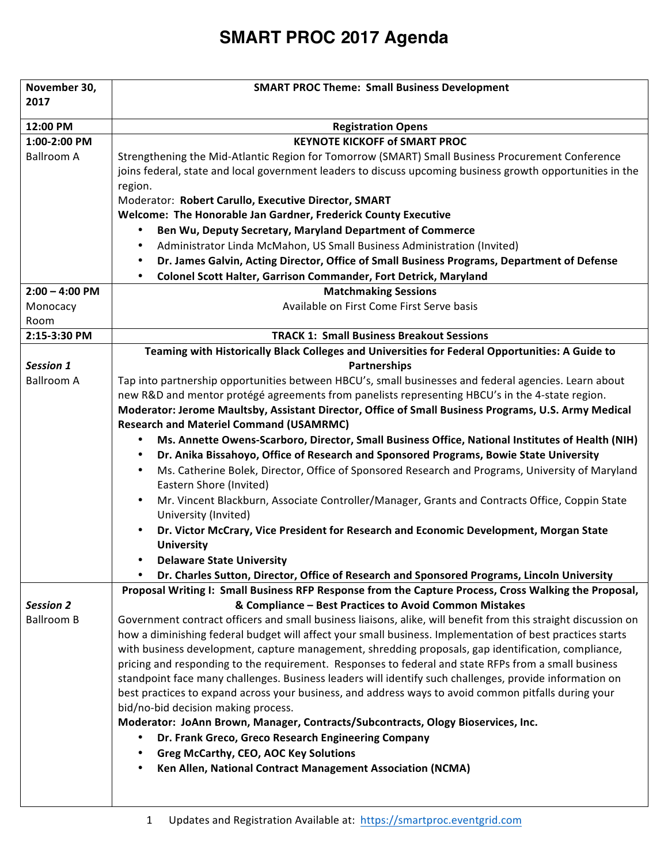#### **November 30. 2017 SMART PROC Theme: Small Business Development 12:00 PM Registration Opens 1:00-2:00 PM** Ballroom A **KEYNOTE KICKOFF of SMART PROC** Strengthening the Mid-Atlantic Region for Tomorrow (SMART) Small Business Procurement Conference joins federal, state and local government leaders to discuss upcoming business growth opportunities in the region. Moderator: Robert Carullo, Executive Director, SMART **Welcome: The Honorable Jan Gardner, Frederick County Executive** Ben Wu, Deputy Secretary, Maryland Department of Commerce Administrator Linda McMahon, US Small Business Administration (Invited) • Dr. James Galvin, Acting Director, Office of Small Business Programs, Department of Defense **• Colonel Scott Halter, Garrison Commander, Fort Detrick, Maryland 2:00 – 4:00 PM** Monocacy Room **Matchmaking Sessions** Available on First Come First Serve basis **2:15-3:30 PM**  $\blacksquare$  **TRACK 1:** Small Business Breakout Sessions *Session 1* Ballroom A Teaming with Historically Black Colleges and Universities for Federal Opportunities: A Guide to **Partnerships**  Tap into partnership opportunities between HBCU's, small businesses and federal agencies. Learn about new R&D and mentor protégé agreements from panelists representing HBCU's in the 4-state region. Moderator: Jerome Maultsby, Assistant Director, Office of Small Business Programs, U.S. Army Medical **Research and Materiel Command (USAMRMC)** • **Ms. Annette Owens-Scarboro, Director, Small Business Office, National Institutes of Health (NIH) • Dr. Anika Bissahoyo, Office of Research and Sponsored Programs, Bowie State University** Ms. Catherine Bolek, Director, Office of Sponsored Research and Programs, University of Maryland Eastern Shore (Invited) • Mr. Vincent Blackburn, Associate Controller/Manager, Grants and Contracts Office, Coppin State University (Invited) Dr. Victor McCrary, Vice President for Research and Economic Development, Morgan State **University**  • **Delaware State University** • **Dr. Charles Sutton, Director, Office of Research and Sponsored Programs, Lincoln University** *Session 2* Ballroom B Proposal Writing I: Small Business RFP Response from the Capture Process, Cross Walking the Proposal, **& Compliance – Best Practices to Avoid Common Mistakes** Government contract officers and small business liaisons, alike, will benefit from this straight discussion on how a diminishing federal budget will affect your small business. Implementation of best practices starts with business development, capture management, shredding proposals, gap identification, compliance, pricing and responding to the requirement. Responses to federal and state RFPs from a small business standpoint face many challenges. Business leaders will identify such challenges, provide information on best practices to expand across your business, and address ways to avoid common pitfalls during your bid/no-bid decision making process. Moderator: JoAnn Brown, Manager, Contracts/Subcontracts, Ology Bioservices, Inc. • **Dr. Frank Greco, Greco Research Engineering Company** • **Greg McCarthy, CEO, AOC Key Solutions** • **Ken Allen, National Contract Management Association (NCMA)**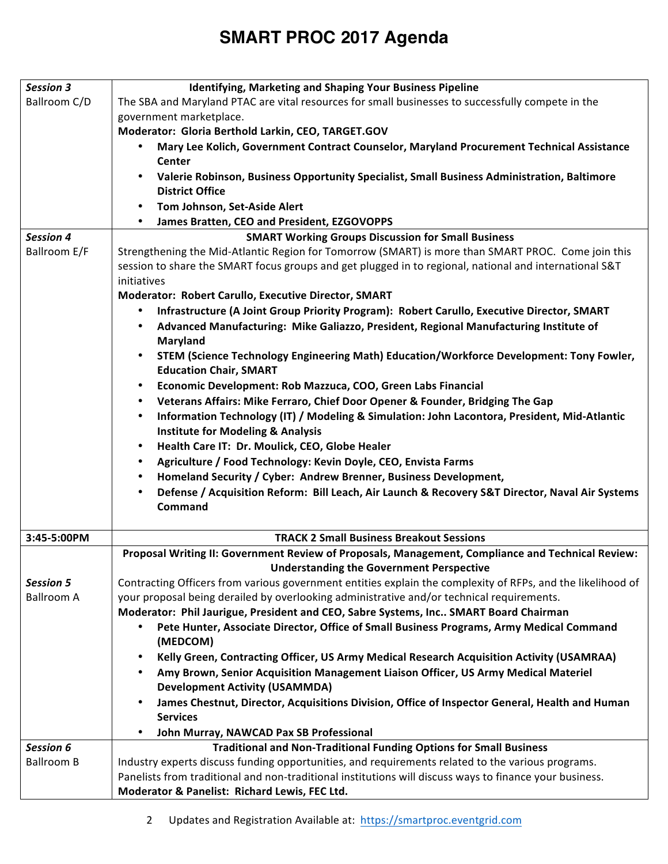| <b>Session 3</b>  | <b>Identifying, Marketing and Shaping Your Business Pipeline</b>                                                                                     |
|-------------------|------------------------------------------------------------------------------------------------------------------------------------------------------|
| Ballroom C/D      | The SBA and Maryland PTAC are vital resources for small businesses to successfully compete in the                                                    |
|                   | government marketplace.                                                                                                                              |
|                   | Moderator: Gloria Berthold Larkin, CEO, TARGET.GOV                                                                                                   |
|                   | Mary Lee Kolich, Government Contract Counselor, Maryland Procurement Technical Assistance<br>$\bullet$<br><b>Center</b>                              |
|                   | Valerie Robinson, Business Opportunity Specialist, Small Business Administration, Baltimore                                                          |
|                   | <b>District Office</b>                                                                                                                               |
|                   | Tom Johnson, Set-Aside Alert<br>$\bullet$                                                                                                            |
|                   | James Bratten, CEO and President, EZGOVOPPS<br>$\bullet$                                                                                             |
| <b>Session 4</b>  | <b>SMART Working Groups Discussion for Small Business</b>                                                                                            |
| Ballroom E/F      | Strengthening the Mid-Atlantic Region for Tomorrow (SMART) is more than SMART PROC. Come join this                                                   |
|                   | session to share the SMART focus groups and get plugged in to regional, national and international S&T                                               |
|                   | initiatives                                                                                                                                          |
|                   | Moderator: Robert Carullo, Executive Director, SMART                                                                                                 |
|                   | Infrastructure (A Joint Group Priority Program): Robert Carullo, Executive Director, SMART<br>$\bullet$                                              |
|                   | Advanced Manufacturing: Mike Galiazzo, President, Regional Manufacturing Institute of<br><b>Maryland</b>                                             |
|                   | STEM (Science Technology Engineering Math) Education/Workforce Development: Tony Fowler,<br>$\bullet$                                                |
|                   | <b>Education Chair, SMART</b>                                                                                                                        |
|                   | Economic Development: Rob Mazzuca, COO, Green Labs Financial<br>$\bullet$                                                                            |
|                   | Veterans Affairs: Mike Ferraro, Chief Door Opener & Founder, Bridging The Gap<br>$\bullet$                                                           |
|                   | Information Technology (IT) / Modeling & Simulation: John Lacontora, President, Mid-Atlantic<br>$\bullet$                                            |
|                   | <b>Institute for Modeling &amp; Analysis</b>                                                                                                         |
|                   | Health Care IT: Dr. Moulick, CEO, Globe Healer<br>$\bullet$                                                                                          |
|                   | Agriculture / Food Technology: Kevin Doyle, CEO, Envista Farms<br>$\bullet$                                                                          |
|                   | Homeland Security / Cyber: Andrew Brenner, Business Development,<br>$\bullet$                                                                        |
|                   | Defense / Acquisition Reform: Bill Leach, Air Launch & Recovery S&T Director, Naval Air Systems<br>$\bullet$                                         |
|                   | Command                                                                                                                                              |
|                   |                                                                                                                                                      |
| 3:45-5:00PM       | <b>TRACK 2 Small Business Breakout Sessions</b>                                                                                                      |
|                   | Proposal Writing II: Government Review of Proposals, Management, Compliance and Technical Review:<br><b>Understanding the Government Perspective</b> |
| <b>Session 5</b>  | Contracting Officers from various government entities explain the complexity of RFPs, and the likelihood of                                          |
| <b>Ballroom A</b> | your proposal being derailed by overlooking administrative and/or technical requirements.                                                            |
|                   | Moderator: Phil Jaurigue, President and CEO, Sabre Systems, Inc SMART Board Chairman                                                                 |
|                   | Pete Hunter, Associate Director, Office of Small Business Programs, Army Medical Command<br>٠<br>(MEDCOM)                                            |
|                   | Kelly Green, Contracting Officer, US Army Medical Research Acquisition Activity (USAMRAA)<br>$\bullet$                                               |
|                   | Amy Brown, Senior Acquisition Management Liaison Officer, US Army Medical Materiel<br>٠                                                              |
|                   | <b>Development Activity (USAMMDA)</b>                                                                                                                |
|                   | James Chestnut, Director, Acquisitions Division, Office of Inspector General, Health and Human<br>$\bullet$                                          |
|                   | <b>Services</b>                                                                                                                                      |
|                   | John Murray, NAWCAD Pax SB Professional<br>$\bullet$                                                                                                 |
| Session 6         | <b>Traditional and Non-Traditional Funding Options for Small Business</b>                                                                            |
| <b>Ballroom B</b> | Industry experts discuss funding opportunities, and requirements related to the various programs.                                                    |
|                   | Panelists from traditional and non-traditional institutions will discuss ways to finance your business.                                              |
|                   | Moderator & Panelist: Richard Lewis, FEC Ltd.                                                                                                        |
|                   |                                                                                                                                                      |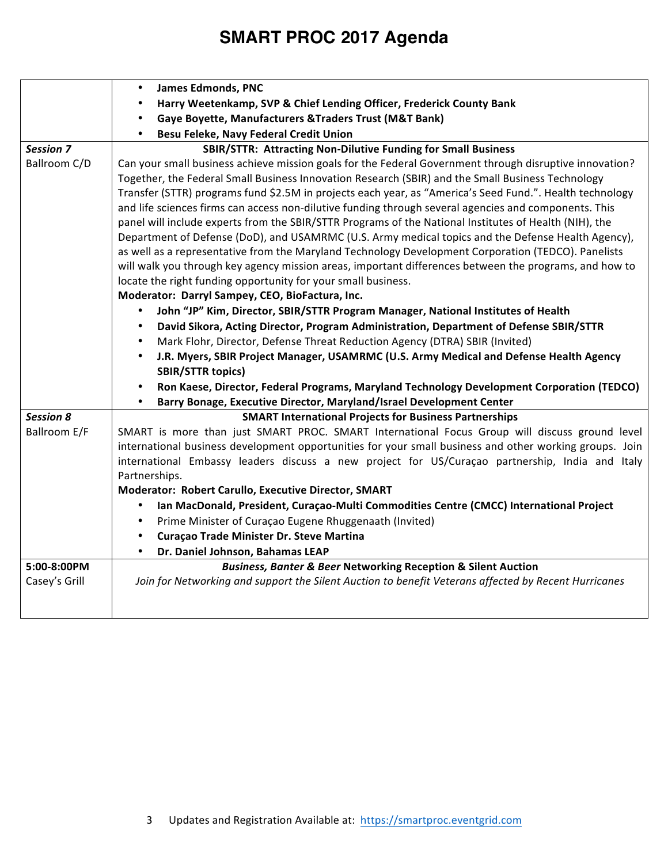|                  | <b>James Edmonds, PNC</b><br>$\bullet$                                                                   |
|------------------|----------------------------------------------------------------------------------------------------------|
|                  | Harry Weetenkamp, SVP & Chief Lending Officer, Frederick County Bank                                     |
|                  | Gaye Boyette, Manufacturers & Traders Trust (M&T Bank)<br>$\bullet$                                      |
|                  | Besu Feleke, Navy Federal Credit Union<br>$\bullet$                                                      |
| <b>Session 7</b> | SBIR/STTR: Attracting Non-Dilutive Funding for Small Business                                            |
| Ballroom C/D     | Can your small business achieve mission goals for the Federal Government through disruptive innovation?  |
|                  | Together, the Federal Small Business Innovation Research (SBIR) and the Small Business Technology        |
|                  | Transfer (STTR) programs fund \$2.5M in projects each year, as "America's Seed Fund.". Health technology |
|                  | and life sciences firms can access non-dilutive funding through several agencies and components. This    |
|                  | panel will include experts from the SBIR/STTR Programs of the National Institutes of Health (NIH), the   |
|                  | Department of Defense (DoD), and USAMRMC (U.S. Army medical topics and the Defense Health Agency),       |
|                  | as well as a representative from the Maryland Technology Development Corporation (TEDCO). Panelists      |
|                  | will walk you through key agency mission areas, important differences between the programs, and how to   |
|                  | locate the right funding opportunity for your small business.                                            |
|                  | Moderator: Darryl Sampey, CEO, BioFactura, Inc.                                                          |
|                  | John "JP" Kim, Director, SBIR/STTR Program Manager, National Institutes of Health<br>$\bullet$           |
|                  | David Sikora, Acting Director, Program Administration, Department of Defense SBIR/STTR<br>$\bullet$      |
|                  | Mark Flohr, Director, Defense Threat Reduction Agency (DTRA) SBIR (Invited)<br>$\bullet$                 |
|                  | J.R. Myers, SBIR Project Manager, USAMRMC (U.S. Army Medical and Defense Health Agency<br>$\bullet$      |
|                  | <b>SBIR/STTR topics)</b>                                                                                 |
|                  | Ron Kaese, Director, Federal Programs, Maryland Technology Development Corporation (TEDCO)<br>$\bullet$  |
|                  | Barry Bonage, Executive Director, Maryland/Israel Development Center<br>$\bullet$                        |
| <b>Session 8</b> | <b>SMART International Projects for Business Partnerships</b>                                            |
| Ballroom E/F     | SMART is more than just SMART PROC. SMART International Focus Group will discuss ground level            |
|                  | international business development opportunities for your small business and other working groups. Join  |
|                  | international Embassy leaders discuss a new project for US/Curaçao partnership, India and Italy          |
|                  | Partnerships.                                                                                            |
|                  | Moderator: Robert Carullo, Executive Director, SMART                                                     |
|                  | Ian MacDonald, President, Curaçao-Multi Commodities Centre (CMCC) International Project<br>$\bullet$     |
|                  | Prime Minister of Curaçao Eugene Rhuggenaath (Invited)<br>$\bullet$                                      |
|                  | Curaçao Trade Minister Dr. Steve Martina<br>$\bullet$                                                    |
|                  | Dr. Daniel Johnson, Bahamas LEAP<br>$\bullet$                                                            |
| 5:00-8:00PM      | <b>Business, Banter &amp; Beer Networking Reception &amp; Silent Auction</b>                             |
| Casey's Grill    | Join for Networking and support the Silent Auction to benefit Veterans affected by Recent Hurricanes     |
|                  |                                                                                                          |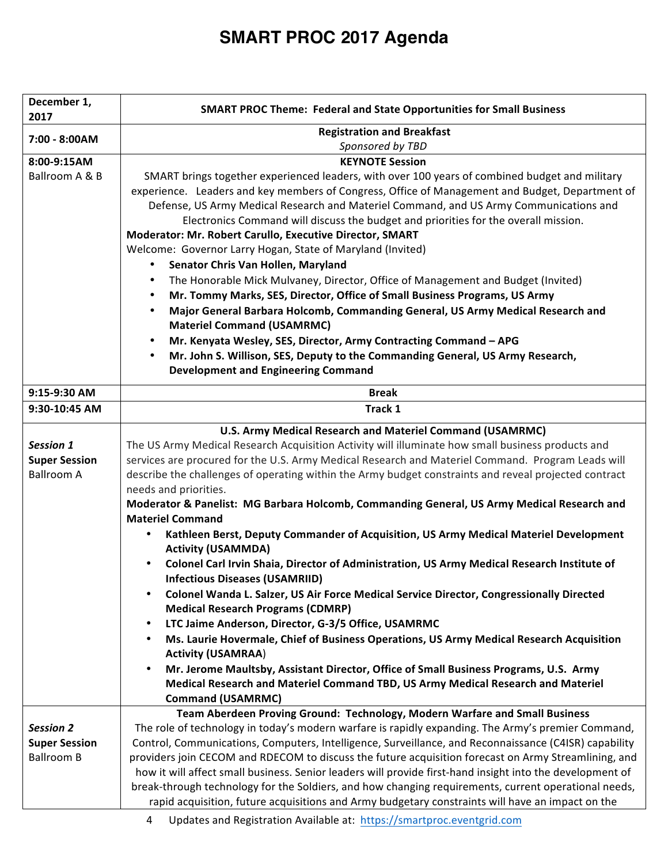| December 1,<br>2017  | <b>SMART PROC Theme: Federal and State Opportunities for Small Business</b>                                           |
|----------------------|-----------------------------------------------------------------------------------------------------------------------|
| 7:00 - 8:00AM        | <b>Registration and Breakfast</b><br>Sponsored by TBD                                                                 |
| 8:00-9:15AM          | <b>KEYNOTE Session</b>                                                                                                |
| Ballroom A & B       | SMART brings together experienced leaders, with over 100 years of combined budget and military                        |
|                      | experience. Leaders and key members of Congress, Office of Management and Budget, Department of                       |
|                      | Defense, US Army Medical Research and Materiel Command, and US Army Communications and                                |
|                      | Electronics Command will discuss the budget and priorities for the overall mission.                                   |
|                      | Moderator: Mr. Robert Carullo, Executive Director, SMART                                                              |
|                      | Welcome: Governor Larry Hogan, State of Maryland (Invited)                                                            |
|                      | Senator Chris Van Hollen, Maryland<br>$\bullet$                                                                       |
|                      | The Honorable Mick Mulvaney, Director, Office of Management and Budget (Invited)<br>$\bullet$                         |
|                      | Mr. Tommy Marks, SES, Director, Office of Small Business Programs, US Army<br>٠                                       |
|                      | Major General Barbara Holcomb, Commanding General, US Army Medical Research and<br>٠                                  |
|                      | <b>Materiel Command (USAMRMC)</b>                                                                                     |
|                      | Mr. Kenyata Wesley, SES, Director, Army Contracting Command - APG<br>$\bullet$                                        |
|                      | Mr. John S. Willison, SES, Deputy to the Commanding General, US Army Research,<br>$\bullet$                           |
|                      | <b>Development and Engineering Command</b>                                                                            |
| 9:15-9:30 AM         | <b>Break</b>                                                                                                          |
| 9:30-10:45 AM        | Track 1                                                                                                               |
|                      | U.S. Army Medical Research and Materiel Command (USAMRMC)                                                             |
| Session 1            | The US Army Medical Research Acquisition Activity will illuminate how small business products and                     |
| <b>Super Session</b> | services are procured for the U.S. Army Medical Research and Materiel Command. Program Leads will                     |
| <b>Ballroom A</b>    | describe the challenges of operating within the Army budget constraints and reveal projected contract                 |
|                      | needs and priorities.                                                                                                 |
|                      | Moderator & Panelist: MG Barbara Holcomb, Commanding General, US Army Medical Research and<br><b>Materiel Command</b> |
|                      | Kathleen Berst, Deputy Commander of Acquisition, US Army Medical Materiel Development                                 |
|                      | <b>Activity (USAMMDA)</b>                                                                                             |
|                      | Colonel Carl Irvin Shaia, Director of Administration, US Army Medical Research Institute of                           |
|                      | <b>Infectious Diseases (USAMRIID)</b>                                                                                 |
|                      | Colonel Wanda L. Salzer, US Air Force Medical Service Director, Congressionally Directed<br>$\bullet$                 |
|                      | <b>Medical Research Programs (CDMRP)</b>                                                                              |
|                      | LTC Jaime Anderson, Director, G-3/5 Office, USAMRMC<br>٠                                                              |
|                      | Ms. Laurie Hovermale, Chief of Business Operations, US Army Medical Research Acquisition<br>٠                         |
|                      | <b>Activity (USAMRAA)</b>                                                                                             |
|                      | Mr. Jerome Maultsby, Assistant Director, Office of Small Business Programs, U.S. Army                                 |
|                      | Medical Research and Materiel Command TBD, US Army Medical Research and Materiel                                      |
|                      | <b>Command (USAMRMC)</b>                                                                                              |
|                      | Team Aberdeen Proving Ground: Technology, Modern Warfare and Small Business                                           |
| <b>Session 2</b>     | The role of technology in today's modern warfare is rapidly expanding. The Army's premier Command,                    |
| <b>Super Session</b> | Control, Communications, Computers, Intelligence, Surveillance, and Reconnaissance (C4ISR) capability                 |
| <b>Ballroom B</b>    | providers join CECOM and RDECOM to discuss the future acquisition forecast on Army Streamlining, and                  |
|                      | how it will affect small business. Senior leaders will provide first-hand insight into the development of             |
|                      | break-through technology for the Soldiers, and how changing requirements, current operational needs,                  |
|                      | rapid acquisition, future acquisitions and Army budgetary constraints will have an impact on the                      |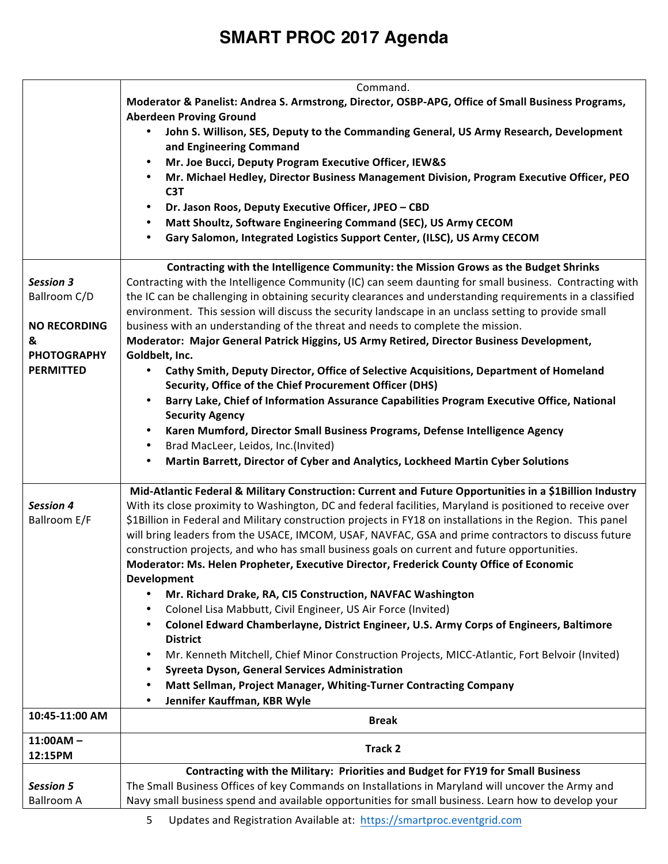|                     | Command.                                                                                                                                                                                                             |
|---------------------|----------------------------------------------------------------------------------------------------------------------------------------------------------------------------------------------------------------------|
|                     | Moderator & Panelist: Andrea S. Armstrong, Director, OSBP-APG, Office of Small Business Programs,                                                                                                                    |
|                     | <b>Aberdeen Proving Ground</b>                                                                                                                                                                                       |
|                     | John S. Willison, SES, Deputy to the Commanding General, US Army Research, Development<br>$\bullet$<br>and Engineering Command                                                                                       |
|                     | Mr. Joe Bucci, Deputy Program Executive Officer, IEW&S                                                                                                                                                               |
|                     | Mr. Michael Hedley, Director Business Management Division, Program Executive Officer, PEO<br>C <sub>3</sub> T                                                                                                        |
|                     | Dr. Jason Roos, Deputy Executive Officer, JPEO - CBD<br>$\bullet$                                                                                                                                                    |
|                     | Matt Shoultz, Software Engineering Command (SEC), US Army CECOM<br>$\bullet$                                                                                                                                         |
|                     | Gary Salomon, Integrated Logistics Support Center, (ILSC), US Army CECOM<br>$\bullet$                                                                                                                                |
|                     |                                                                                                                                                                                                                      |
|                     | Contracting with the Intelligence Community: the Mission Grows as the Budget Shrinks                                                                                                                                 |
| <b>Session 3</b>    | Contracting with the Intelligence Community (IC) can seem daunting for small business. Contracting with                                                                                                              |
| Ballroom C/D        | the IC can be challenging in obtaining security clearances and understanding requirements in a classified                                                                                                            |
|                     | environment. This session will discuss the security landscape in an unclass setting to provide small                                                                                                                 |
| <b>NO RECORDING</b> | business with an understanding of the threat and needs to complete the mission.                                                                                                                                      |
| &                   | Moderator: Major General Patrick Higgins, US Army Retired, Director Business Development,                                                                                                                            |
| <b>PHOTOGRAPHY</b>  | Goldbelt, Inc.                                                                                                                                                                                                       |
| <b>PERMITTED</b>    | Cathy Smith, Deputy Director, Office of Selective Acquisitions, Department of Homeland                                                                                                                               |
|                     | Security, Office of the Chief Procurement Officer (DHS)                                                                                                                                                              |
|                     | Barry Lake, Chief of Information Assurance Capabilities Program Executive Office, National<br>$\bullet$                                                                                                              |
|                     | <b>Security Agency</b>                                                                                                                                                                                               |
|                     | Karen Mumford, Director Small Business Programs, Defense Intelligence Agency<br>$\bullet$                                                                                                                            |
|                     | Brad MacLeer, Leidos, Inc.(Invited)<br>$\bullet$                                                                                                                                                                     |
|                     | Martin Barrett, Director of Cyber and Analytics, Lockheed Martin Cyber Solutions<br>$\bullet$                                                                                                                        |
|                     |                                                                                                                                                                                                                      |
| <b>Session 4</b>    | Mid-Atlantic Federal & Military Construction: Current and Future Opportunities in a \$1Billion Industry<br>With its close proximity to Washington, DC and federal facilities, Maryland is positioned to receive over |
| Ballroom E/F        | \$1Billion in Federal and Military construction projects in FY18 on installations in the Region. This panel                                                                                                          |
|                     | will bring leaders from the USACE, IMCOM, USAF, NAVFAC, GSA and prime contractors to discuss future                                                                                                                  |
|                     | construction projects, and who has small business goals on current and future opportunities.                                                                                                                         |
|                     | Moderator: Ms. Helen Propheter, Executive Director, Frederick County Office of Economic                                                                                                                              |
|                     | Development                                                                                                                                                                                                          |
|                     | Mr. Richard Drake, RA, CI5 Construction, NAVFAC Washington                                                                                                                                                           |
|                     | Colonel Lisa Mabbutt, Civil Engineer, US Air Force (Invited)<br>٠                                                                                                                                                    |
|                     | Colonel Edward Chamberlayne, District Engineer, U.S. Army Corps of Engineers, Baltimore<br>$\bullet$                                                                                                                 |
|                     | <b>District</b>                                                                                                                                                                                                      |
|                     | Mr. Kenneth Mitchell, Chief Minor Construction Projects, MICC-Atlantic, Fort Belvoir (Invited)<br>$\bullet$                                                                                                          |
|                     | Syreeta Dyson, General Services Administration<br>$\bullet$                                                                                                                                                          |
|                     | Matt Sellman, Project Manager, Whiting-Turner Contracting Company<br>$\bullet$                                                                                                                                       |
|                     | Jennifer Kauffman, KBR Wyle<br>$\bullet$                                                                                                                                                                             |
| 10:45-11:00 AM      | <b>Break</b>                                                                                                                                                                                                         |
| $11:00AM -$         |                                                                                                                                                                                                                      |
| 12:15PM             | Track 2                                                                                                                                                                                                              |
|                     | Contracting with the Military: Priorities and Budget for FY19 for Small Business                                                                                                                                     |
| <b>Session 5</b>    | The Small Business Offices of key Commands on Installations in Maryland will uncover the Army and                                                                                                                    |
| <b>Ballroom A</b>   | Navy small business spend and available opportunities for small business. Learn how to develop your                                                                                                                  |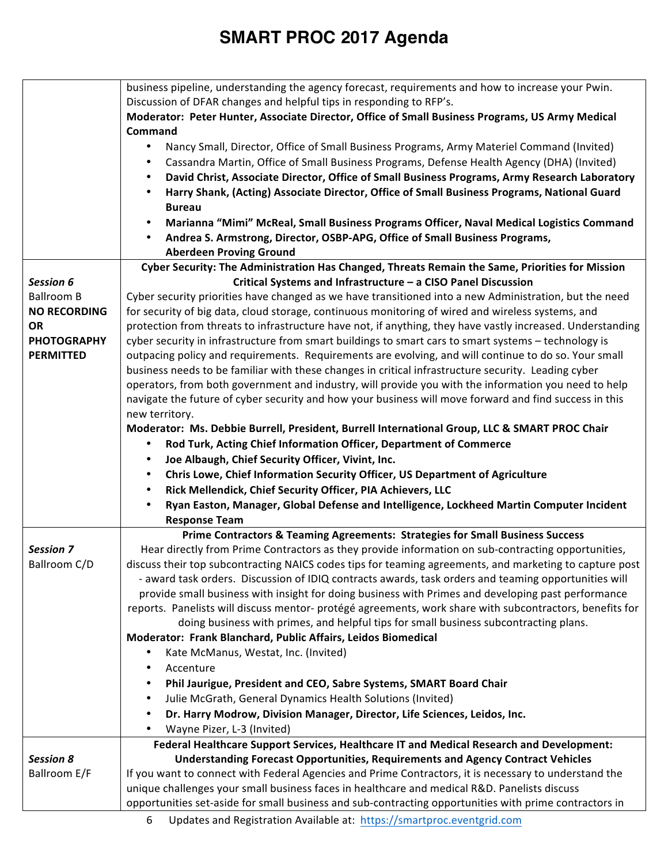|                                        | business pipeline, understanding the agency forecast, requirements and how to increase your Pwin.<br>Discussion of DFAR changes and helpful tips in responding to RFP's.<br>Moderator: Peter Hunter, Associate Director, Office of Small Business Programs, US Army Medical<br>Command<br>Nancy Small, Director, Office of Small Business Programs, Army Materiel Command (Invited)<br>$\bullet$<br>Cassandra Martin, Office of Small Business Programs, Defense Health Agency (DHA) (Invited)<br>٠<br>David Christ, Associate Director, Office of Small Business Programs, Army Research Laboratory<br>٠<br>Harry Shank, (Acting) Associate Director, Office of Small Business Programs, National Guard<br>$\bullet$<br><b>Bureau</b><br>Marianna "Mimi" McReal, Small Business Programs Officer, Naval Medical Logistics Command<br>٠<br>Andrea S. Armstrong, Director, OSBP-APG, Office of Small Business Programs,<br>$\bullet$<br><b>Aberdeen Proving Ground</b> |
|----------------------------------------|-----------------------------------------------------------------------------------------------------------------------------------------------------------------------------------------------------------------------------------------------------------------------------------------------------------------------------------------------------------------------------------------------------------------------------------------------------------------------------------------------------------------------------------------------------------------------------------------------------------------------------------------------------------------------------------------------------------------------------------------------------------------------------------------------------------------------------------------------------------------------------------------------------------------------------------------------------------------------|
|                                        | Cyber Security: The Administration Has Changed, Threats Remain the Same, Priorities for Mission                                                                                                                                                                                                                                                                                                                                                                                                                                                                                                                                                                                                                                                                                                                                                                                                                                                                       |
| Session 6                              | Critical Systems and Infrastructure - a CISO Panel Discussion                                                                                                                                                                                                                                                                                                                                                                                                                                                                                                                                                                                                                                                                                                                                                                                                                                                                                                         |
| <b>Ballroom B</b>                      | Cyber security priorities have changed as we have transitioned into a new Administration, but the need                                                                                                                                                                                                                                                                                                                                                                                                                                                                                                                                                                                                                                                                                                                                                                                                                                                                |
| <b>NO RECORDING</b>                    | for security of big data, cloud storage, continuous monitoring of wired and wireless systems, and                                                                                                                                                                                                                                                                                                                                                                                                                                                                                                                                                                                                                                                                                                                                                                                                                                                                     |
| <b>OR</b>                              | protection from threats to infrastructure have not, if anything, they have vastly increased. Understanding                                                                                                                                                                                                                                                                                                                                                                                                                                                                                                                                                                                                                                                                                                                                                                                                                                                            |
| <b>PHOTOGRAPHY</b><br><b>PERMITTED</b> | cyber security in infrastructure from smart buildings to smart cars to smart systems - technology is<br>outpacing policy and requirements. Requirements are evolving, and will continue to do so. Your small                                                                                                                                                                                                                                                                                                                                                                                                                                                                                                                                                                                                                                                                                                                                                          |
|                                        | business needs to be familiar with these changes in critical infrastructure security. Leading cyber                                                                                                                                                                                                                                                                                                                                                                                                                                                                                                                                                                                                                                                                                                                                                                                                                                                                   |
|                                        | operators, from both government and industry, will provide you with the information you need to help                                                                                                                                                                                                                                                                                                                                                                                                                                                                                                                                                                                                                                                                                                                                                                                                                                                                  |
|                                        | navigate the future of cyber security and how your business will move forward and find success in this                                                                                                                                                                                                                                                                                                                                                                                                                                                                                                                                                                                                                                                                                                                                                                                                                                                                |
|                                        | new territory.                                                                                                                                                                                                                                                                                                                                                                                                                                                                                                                                                                                                                                                                                                                                                                                                                                                                                                                                                        |
|                                        | Moderator: Ms. Debbie Burrell, President, Burrell International Group, LLC & SMART PROC Chair                                                                                                                                                                                                                                                                                                                                                                                                                                                                                                                                                                                                                                                                                                                                                                                                                                                                         |
|                                        | Rod Turk, Acting Chief Information Officer, Department of Commerce<br>٠                                                                                                                                                                                                                                                                                                                                                                                                                                                                                                                                                                                                                                                                                                                                                                                                                                                                                               |
|                                        | Joe Albaugh, Chief Security Officer, Vivint, Inc.<br>٠                                                                                                                                                                                                                                                                                                                                                                                                                                                                                                                                                                                                                                                                                                                                                                                                                                                                                                                |
|                                        | Chris Lowe, Chief Information Security Officer, US Department of Agriculture<br>٠                                                                                                                                                                                                                                                                                                                                                                                                                                                                                                                                                                                                                                                                                                                                                                                                                                                                                     |
|                                        | Rick Mellendick, Chief Security Officer, PIA Achievers, LLC<br>$\bullet$                                                                                                                                                                                                                                                                                                                                                                                                                                                                                                                                                                                                                                                                                                                                                                                                                                                                                              |
|                                        | Ryan Easton, Manager, Global Defense and Intelligence, Lockheed Martin Computer Incident<br>$\bullet$<br><b>Response Team</b>                                                                                                                                                                                                                                                                                                                                                                                                                                                                                                                                                                                                                                                                                                                                                                                                                                         |
|                                        | Prime Contractors & Teaming Agreements: Strategies for Small Business Success                                                                                                                                                                                                                                                                                                                                                                                                                                                                                                                                                                                                                                                                                                                                                                                                                                                                                         |
| <b>Session 7</b>                       | Hear directly from Prime Contractors as they provide information on sub-contracting opportunities,                                                                                                                                                                                                                                                                                                                                                                                                                                                                                                                                                                                                                                                                                                                                                                                                                                                                    |
| Ballroom C/D                           | discuss their top subcontracting NAICS codes tips for teaming agreements, and marketing to capture post                                                                                                                                                                                                                                                                                                                                                                                                                                                                                                                                                                                                                                                                                                                                                                                                                                                               |
|                                        | - award task orders. Discussion of IDIQ contracts awards, task orders and teaming opportunities will                                                                                                                                                                                                                                                                                                                                                                                                                                                                                                                                                                                                                                                                                                                                                                                                                                                                  |
|                                        | provide small business with insight for doing business with Primes and developing past performance                                                                                                                                                                                                                                                                                                                                                                                                                                                                                                                                                                                                                                                                                                                                                                                                                                                                    |
|                                        | reports. Panelists will discuss mentor- protégé agreements, work share with subcontractors, benefits for                                                                                                                                                                                                                                                                                                                                                                                                                                                                                                                                                                                                                                                                                                                                                                                                                                                              |
|                                        | doing business with primes, and helpful tips for small business subcontracting plans.                                                                                                                                                                                                                                                                                                                                                                                                                                                                                                                                                                                                                                                                                                                                                                                                                                                                                 |
|                                        | Moderator: Frank Blanchard, Public Affairs, Leidos Biomedical                                                                                                                                                                                                                                                                                                                                                                                                                                                                                                                                                                                                                                                                                                                                                                                                                                                                                                         |
|                                        | Kate McManus, Westat, Inc. (Invited)                                                                                                                                                                                                                                                                                                                                                                                                                                                                                                                                                                                                                                                                                                                                                                                                                                                                                                                                  |
|                                        | Accenture                                                                                                                                                                                                                                                                                                                                                                                                                                                                                                                                                                                                                                                                                                                                                                                                                                                                                                                                                             |
|                                        | Phil Jaurigue, President and CEO, Sabre Systems, SMART Board Chair                                                                                                                                                                                                                                                                                                                                                                                                                                                                                                                                                                                                                                                                                                                                                                                                                                                                                                    |
|                                        | Julie McGrath, General Dynamics Health Solutions (Invited)<br>٠<br>Dr. Harry Modrow, Division Manager, Director, Life Sciences, Leidos, Inc.<br>٠                                                                                                                                                                                                                                                                                                                                                                                                                                                                                                                                                                                                                                                                                                                                                                                                                     |
|                                        | Wayne Pizer, L-3 (Invited)                                                                                                                                                                                                                                                                                                                                                                                                                                                                                                                                                                                                                                                                                                                                                                                                                                                                                                                                            |
|                                        | Federal Healthcare Support Services, Healthcare IT and Medical Research and Development:                                                                                                                                                                                                                                                                                                                                                                                                                                                                                                                                                                                                                                                                                                                                                                                                                                                                              |
| <b>Session 8</b>                       | <b>Understanding Forecast Opportunities, Requirements and Agency Contract Vehicles</b>                                                                                                                                                                                                                                                                                                                                                                                                                                                                                                                                                                                                                                                                                                                                                                                                                                                                                |
| Ballroom E/F                           | If you want to connect with Federal Agencies and Prime Contractors, it is necessary to understand the                                                                                                                                                                                                                                                                                                                                                                                                                                                                                                                                                                                                                                                                                                                                                                                                                                                                 |
|                                        | unique challenges your small business faces in healthcare and medical R&D. Panelists discuss                                                                                                                                                                                                                                                                                                                                                                                                                                                                                                                                                                                                                                                                                                                                                                                                                                                                          |
|                                        | opportunities set-aside for small business and sub-contracting opportunities with prime contractors in                                                                                                                                                                                                                                                                                                                                                                                                                                                                                                                                                                                                                                                                                                                                                                                                                                                                |
|                                        |                                                                                                                                                                                                                                                                                                                                                                                                                                                                                                                                                                                                                                                                                                                                                                                                                                                                                                                                                                       |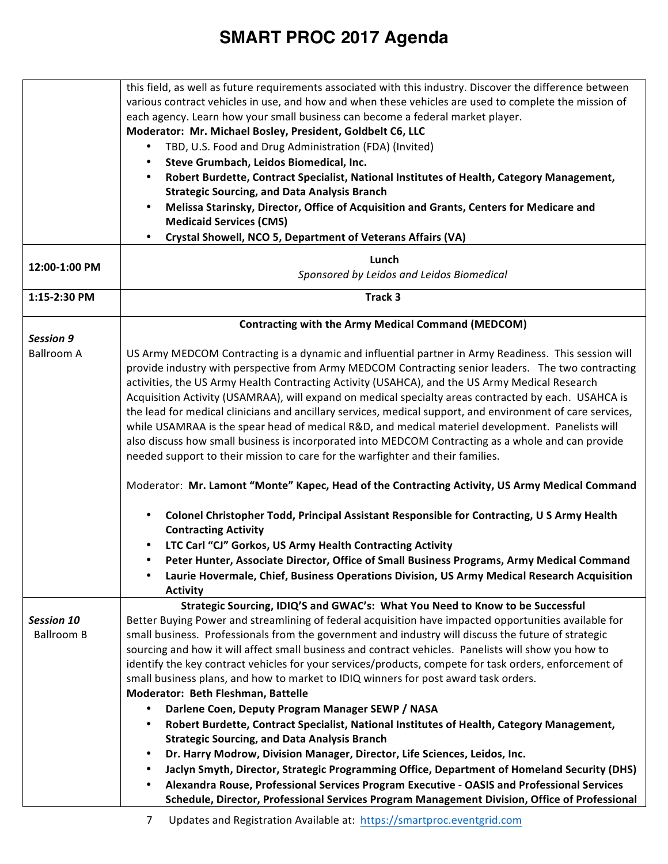|                   | this field, as well as future requirements associated with this industry. Discover the difference between                      |
|-------------------|--------------------------------------------------------------------------------------------------------------------------------|
|                   | various contract vehicles in use, and how and when these vehicles are used to complete the mission of                          |
|                   | each agency. Learn how your small business can become a federal market player.                                                 |
|                   | Moderator: Mr. Michael Bosley, President, Goldbelt C6, LLC                                                                     |
|                   | TBD, U.S. Food and Drug Administration (FDA) (Invited)<br>٠                                                                    |
|                   | Steve Grumbach, Leidos Biomedical, Inc.<br>٠                                                                                   |
|                   | Robert Burdette, Contract Specialist, National Institutes of Health, Category Management,                                      |
|                   | <b>Strategic Sourcing, and Data Analysis Branch</b>                                                                            |
|                   | Melissa Starinsky, Director, Office of Acquisition and Grants, Centers for Medicare and<br>$\bullet$                           |
|                   | <b>Medicaid Services (CMS)</b>                                                                                                 |
|                   | Crystal Showell, NCO 5, Department of Veterans Affairs (VA)                                                                    |
|                   | Lunch                                                                                                                          |
| 12:00-1:00 PM     | Sponsored by Leidos and Leidos Biomedical                                                                                      |
| 1:15-2:30 PM      | Track 3                                                                                                                        |
|                   |                                                                                                                                |
|                   | <b>Contracting with the Army Medical Command (MEDCOM)</b>                                                                      |
| <b>Session 9</b>  |                                                                                                                                |
| <b>Ballroom A</b> | US Army MEDCOM Contracting is a dynamic and influential partner in Army Readiness. This session will                           |
|                   | provide industry with perspective from Army MEDCOM Contracting senior leaders. The two contracting                             |
|                   | activities, the US Army Health Contracting Activity (USAHCA), and the US Army Medical Research                                 |
|                   | Acquisition Activity (USAMRAA), will expand on medical specialty areas contracted by each. USAHCA is                           |
|                   | the lead for medical clinicians and ancillary services, medical support, and environment of care services,                     |
|                   | while USAMRAA is the spear head of medical R&D, and medical materiel development. Panelists will                               |
|                   | also discuss how small business is incorporated into MEDCOM Contracting as a whole and can provide                             |
|                   | needed support to their mission to care for the warfighter and their families.                                                 |
|                   |                                                                                                                                |
|                   | Moderator: Mr. Lamont "Monte" Kapec, Head of the Contracting Activity, US Army Medical Command                                 |
|                   | Colonel Christopher Todd, Principal Assistant Responsible for Contracting, U S Army Health<br>٠<br><b>Contracting Activity</b> |
|                   | LTC Carl "CJ" Gorkos, US Army Health Contracting Activity<br>$\bullet$                                                         |
|                   | Peter Hunter, Associate Director, Office of Small Business Programs, Army Medical Command<br>$\bullet$                         |
|                   | Laurie Hovermale, Chief, Business Operations Division, US Army Medical Research Acquisition                                    |
|                   | <b>Activity</b>                                                                                                                |
|                   | Strategic Sourcing, IDIQ'S and GWAC's: What You Need to Know to be Successful                                                  |
| <b>Session 10</b> | Better Buying Power and streamlining of federal acquisition have impacted opportunities available for                          |
| <b>Ballroom B</b> | small business. Professionals from the government and industry will discuss the future of strategic                            |
|                   | sourcing and how it will affect small business and contract vehicles. Panelists will show you how to                           |
|                   | identify the key contract vehicles for your services/products, compete for task orders, enforcement of                         |
|                   | small business plans, and how to market to IDIQ winners for post award task orders.                                            |
|                   | Moderator: Beth Fleshman, Battelle                                                                                             |
|                   | Darlene Coen, Deputy Program Manager SEWP / NASA                                                                               |
|                   | Robert Burdette, Contract Specialist, National Institutes of Health, Category Management,                                      |
|                   | <b>Strategic Sourcing, and Data Analysis Branch</b>                                                                            |
|                   | Dr. Harry Modrow, Division Manager, Director, Life Sciences, Leidos, Inc.<br>٠                                                 |
|                   | Jaclyn Smyth, Director, Strategic Programming Office, Department of Homeland Security (DHS)                                    |
|                   | Alexandra Rouse, Professional Services Program Executive - OASIS and Professional Services                                     |
|                   | Schedule, Director, Professional Services Program Management Division, Office of Professional                                  |
|                   |                                                                                                                                |